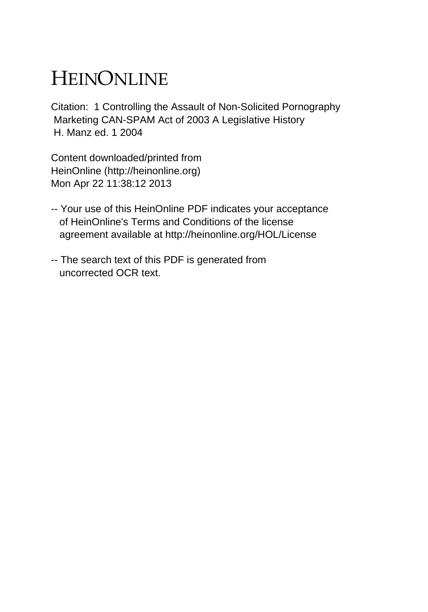# HEINONLINE

Citation: 1 Controlling the Assault of Non-Solicited Pornography Marketing CAN-SPAM Act of 2003 A Legislative History H. Manz ed. 1 2004

Content downloaded/printed from HeinOnline (http://heinonline.org) Mon Apr 22 11:38:12 2013

- -- Your use of this HeinOnline PDF indicates your acceptance of HeinOnline's Terms and Conditions of the license agreement available at http://heinonline.org/HOL/License
- -- The search text of this PDF is generated from uncorrected OCR text.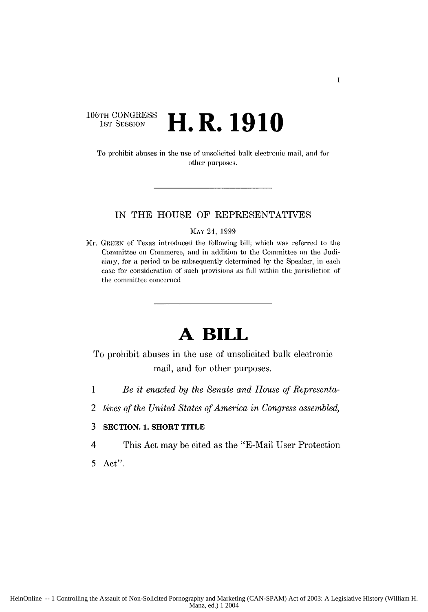# **106TH CONGRESS**<br>**1ST SESSION lST SESSION H.R. 1910**

To prohibit abuses in the use of unsolicited bulk electronic mail, and for other purposes.

### **IN** THE **HOUSE** OF REPRESENTATIVES

MAY 24, 1999

Mr. GREEN of Texas introduced the following bill; which was referred to the Committee on Commerce, and in addition to the Committee on the Judiciary, for a period to **be** subsequently determined **by** the Speaker, in each case for consideration of such provisions as fall within the jurisdiction of the committee concerned

# **A BILL**

To prohibit abuses in the use of unsolicited bulk electronic mail, and for other purposes.

- *1 Be it enacted by the Senate and House of Representa-*
- *2 tives of the United States of America in Congress assembled,*

### **3 SECTION. 1. SHORT TITLE**

4 This Act may be cited as the "E-Mail User Protection

**5** Act".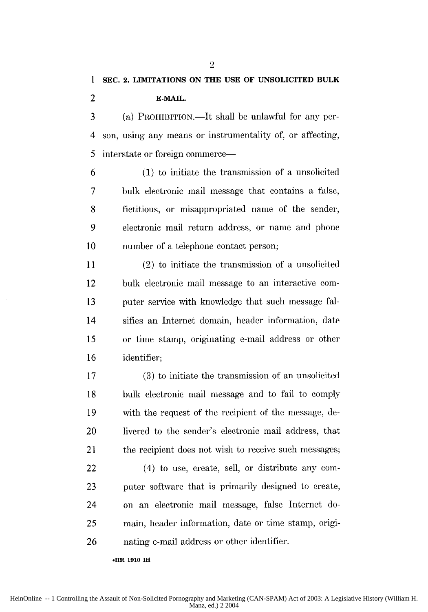**1 SEC. 2. LIMITATIONS ON THE USE OF UNSOLICITED BULK** 2 **E-MAIL.**

3 (a) PROHIBITION.—It shall be unlawful for any per-4 son, using any means or instrumentality of, or affecting, 5 interstate or foreign commerce—

6 (1) to initiate the transmission of a unsolicited 7 bulk electronic mail message that contains a false, 8 fictitious, or misappropriated name of the sender, 9 electronic mail return address, or name and phone 10 number of a telephone contact person;

11 (2) to initiate the transmission of a unsolicited 12 bulk electronic mail message to an interactive com-13 puter service with knowledge that such message fal-14 sifies an Internet domain, header information, date 15 or time stamp, originating e-mail address or other 16 identifier;

17 (3) to initiate the transmission of an unsolicited 18 bulk electronic mail message and to fail to comply 19 with the request of the recipient of the message, de-20 livered to the sender's electronic mail address, that 21 the recipient does not wish to receive such messages;

22 (4) to use, create, sell, or distribute any com-23 puter software that is primarily designed to create, 24 on an electronic mail message, false Internet do-25 main, header information, date or time stamp, origi-26 nating e-mail address or other identifier.

**.HR 1910 MH**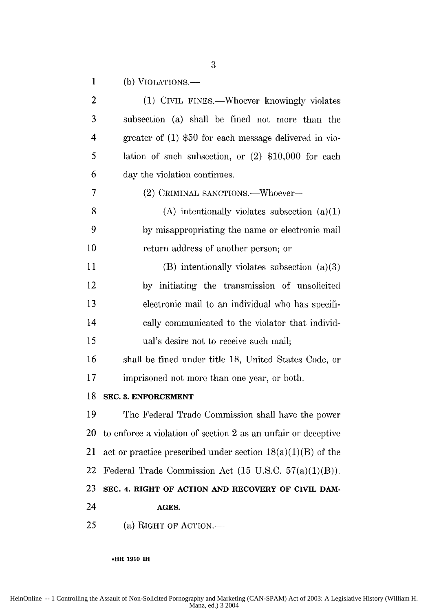1 (b) VIOLATIONS.

| $\boldsymbol{2}$        | (1) CIVIL FINES.—Whoever knowingly violates                      |
|-------------------------|------------------------------------------------------------------|
| 3                       | subsection (a) shall be fined not more than the                  |
| $\overline{\mathbf{4}}$ | greater of (1) \$50 for each message delivered in vio-           |
| 5                       | lation of such subsection, or $(2)$ \$10,000 for each            |
| 6                       | day the violation continues.                                     |
| 7                       | (2) CRIMINAL SANCTIONS.—Whoever—                                 |
| 8                       | $(A)$ intentionally violates subsection $(a)(1)$                 |
| 9                       | by misappropriating the name or electronic mail                  |
| 10                      | return address of another person; or                             |
| 11                      | $(B)$ intentionally violates subsection $(a)(3)$                 |
| 12                      | by initiating the transmission of unsolicited                    |
| 13                      | electronic mail to an individual who has specifi-                |
| 14                      | cally communicated to the violator that individ-                 |
| 15                      | ual's desire not to receive such mail;                           |
| 16                      | shall be fined under title 18, United States Code, or            |
| 17                      | imprisoned not more than one year, or both.                      |
| 18                      | <b>SEC. 3. ENFORCEMENT</b>                                       |
| 19                      | The Federal Trade Commission shall have the power                |
| 20                      | to enforce a violation of section 2 as an unfair or deceptive    |
| 21                      | act or practice prescribed under section $18(a)(1)(B)$ of the    |
| 22                      | Federal Trade Commission Act $(15 \text{ U.S.C. } 57(a)(1)(B)).$ |
| 23                      | SEC. 4. RIGHT OF ACTION AND RECOVERY OF CIVIL DAM-               |
| 24                      | AGES.                                                            |
| 25                      | (a) RIGHT OF ACTION.—                                            |

**\*HR 1910 IH**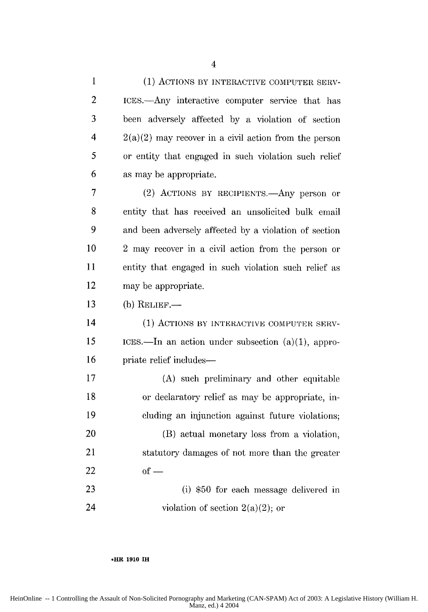| 1              | (1) ACTIONS BY INTERACTIVE COMPUTER SERV-               |
|----------------|---------------------------------------------------------|
| $\overline{2}$ | ICES.—Any interactive computer service that has         |
| 3              | been adversely affected by a violation of section       |
| 4              | $2(a)(2)$ may recover in a civil action from the person |
| 5              | or entity that engaged in such violation such relief    |
| 6              | as may be appropriate.                                  |
| 7              | (2) ACTIONS BY RECIPIENTS.—Any person or                |
| 8              | entity that has received an unsolicited bulk email      |
| 9              | and been adversely affected by a violation of section   |
| 10             | 2 may recover in a civil action from the person or      |
| 11             | entity that engaged in such violation such relief as    |
| 12             | may be appropriate.                                     |
| 13             | $(b)$ RELIEF.—                                          |
| 14             | (1) ACTIONS BY INTERACTIVE COMPUTER SERV-               |
| 15             | ICES.—In an action under subsection $(a)(1)$ , appro-   |
| 16             | priate relief includes-                                 |
| 17             | (A) such preliminary and other equitable                |
| 18             | or declaratory relief as may be appropriate, in-        |
| 19             | cluding an injunction against future violations;        |
| 20             | (B) actual monetary loss from a violation,              |
| 21             | statutory damages of not more than the greater          |
| 22             | $of -$                                                  |
| 23             | (i) \$50 for each message delivered in                  |
| 24             | violation of section $2(a)(2)$ ; or                     |

#### • **HR 1910 IH**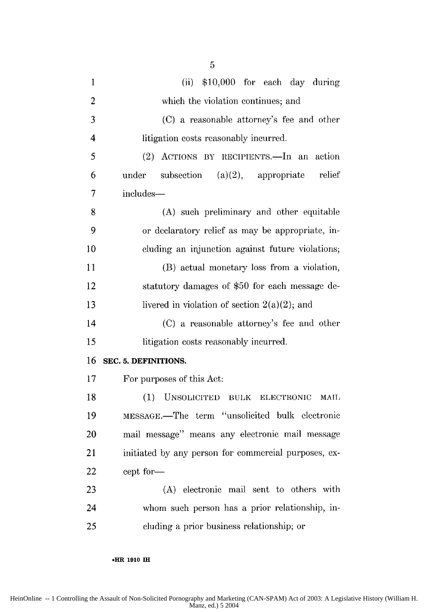| $\mathbf{1}$            | (ii) \$10,000 for each day during                    |
|-------------------------|------------------------------------------------------|
| $\overline{2}$          | which the violation continues; and                   |
| 3                       | (C) a reasonable attorney's fee and other            |
| $\overline{\mathbf{4}}$ | litigation costs reasonably incurred.                |
| 5                       | ACTIONS BY RECIPIENTS. - In an action<br>(2)         |
| 6                       | subsection (a)(2), appropriate<br>relief<br>under    |
| 7                       | includes-                                            |
| 8                       | (A) such preliminary and other equitable             |
| 9                       | or declaratory relief as may be appropriate, in-     |
| 10                      | eluding an injunction against future violations;     |
| 11                      | (B) actual monetary loss from a violation,           |
| 12                      | statutory damages of \$50 for each message de-       |
| 13                      | livered in violation of section $2(a)(2)$ ; and      |
| 14                      | (C) a reasonable attorney's fee and other            |
| 15                      | litigation costs reasonably incurred.                |
| 16                      | SEC. 5. DEFINITIONS.                                 |
| 17                      | For purposes of this Act:                            |
| 18                      | UNSOLICITED BULK ELECTRONIC<br>(1)<br>MAIL           |
| 19                      | MESSAGE.-The term "unsolicited bulk electronic       |
| 20                      | mail message" means any electronic mail message      |
| 21                      | initiated by any person for commercial purposes, ex- |
| 22                      | cept for-                                            |
| 23                      | (A) electronic mail sent to others with              |
| 24                      | whom such person has a prior relationship, in-       |
| 25                      | cluding a prior business relationship; or            |

#### **-HiR 1910** 1H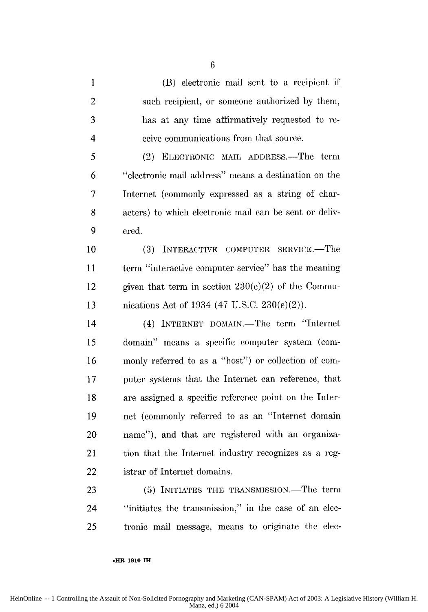1 (B) electronic mail sent to a recipient if 2 such recipient, or someone authorized by them, 3 has at any time affirmatively requested to re-4 ceive communications from that source.

5 (2) ELECTRONIC MAIL ADDRESS.—The term 6 "electronic mail address" means a destination on the 7 Internet (commonly expressed as a string of char-8 acters) to which electronic mail can be sent or deliv-9 ered.

10 (3) INTERACTIVE COMPUTER SERVICE.-The 11 term "interactive computer service" has the meaning 12 given that term in section  $230(e)(2)$  of the Commu-13 nications Act of 1934 (47 U.S.C. 230(e)(2)).

14 (4) INTERNET DOMAIN.—The term "Internet 15 domain" means a specific computer system (cou-16 monly referred to as a "host") or collection of com-17 puter systems that the Internet can reference, that **18** are assigned a specific reference point on the Inter-19 net (commonly referred to as an "Internet domain 20 name"), and that are registered with an organiza-21 tion that the Internet industry recognizes as a reg-22 istrar of Internet domains.

23 (5) INITIATES THE TRANSMISSION.—The term 24 "initiates the transmission," in the case of an elec-25 tronic mail message, means to originate the dec-

#### **.•HR 1910 IH**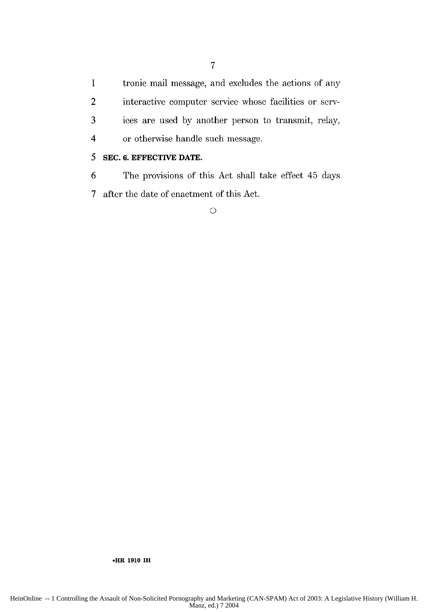1 tronic mail message, and excludes the actions of any 2 interactive computer service whose facilities or serv-3 ices are used by another person to transmit, relay, 4 or otherwise handle such message.

## **5 SEC. 6. EFFECTIVE DATE.**

6 The provisions of this Act shall take effect 45 days 7 after the date of enactment of this Act.

**0**

**-HR 1910 IH**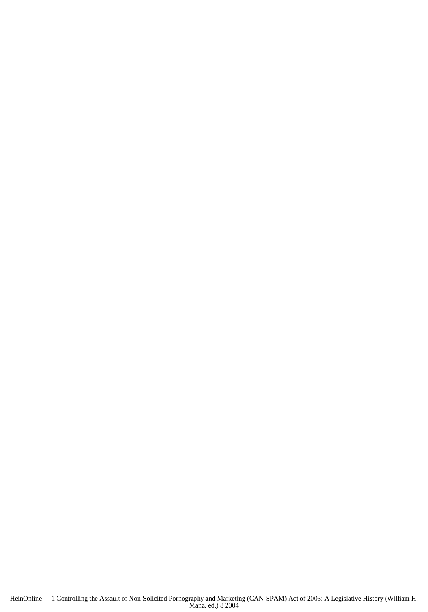HeinOnline -- 1 Controlling the Assault of Non-Solicited Pornography and Marketing (CAN-SPAM) Act of 2003: A Legislative History (William H. Manz, ed.) 8 2004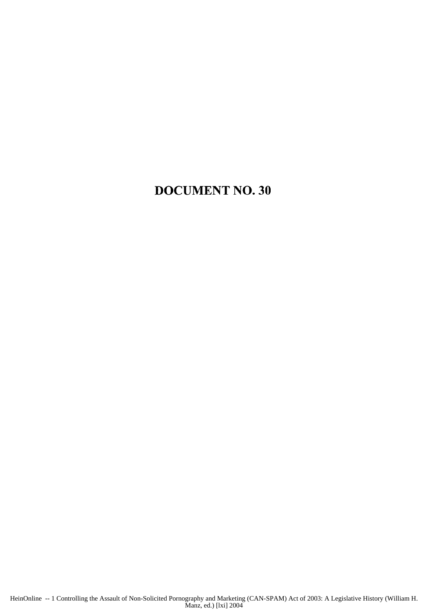# **DOCUMENT NO. 30**